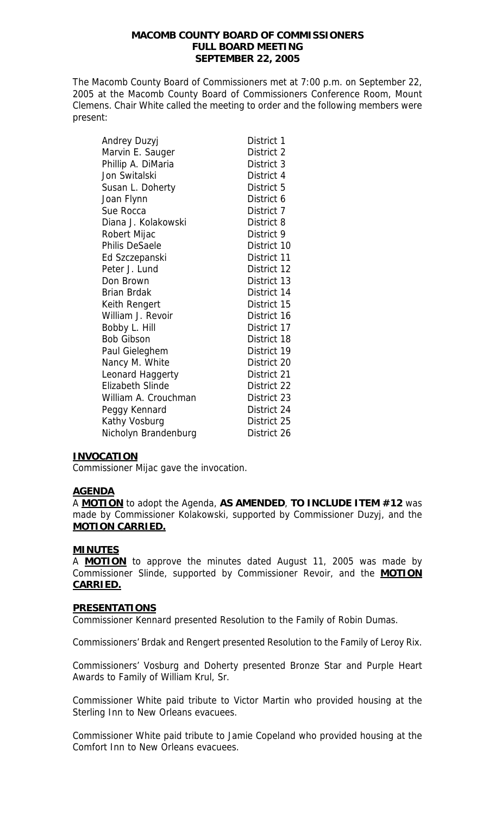## **MACOMB COUNTY BOARD OF COMMISSIONERS FULL BOARD MEETING SEPTEMBER 22, 2005**

The Macomb County Board of Commissioners met at 7:00 p.m. on September 22, 2005 at the Macomb County Board of Commissioners Conference Room, Mount Clemens. Chair White called the meeting to order and the following members were present:

| Andrey Duzyj            | District 1  |
|-------------------------|-------------|
| Marvin E. Sauger        | District 2  |
| Phillip A. DiMaria      | District 3  |
| Jon Switalski           | District 4  |
| Susan L. Doherty        | District 5  |
| Joan Flynn              | District 6  |
| Sue Rocca               | District 7  |
| Diana J. Kolakowski     | District 8  |
| Robert Mijac            | District 9  |
| <b>Philis DeSaele</b>   | District 10 |
| Ed Szczepanski          | District 11 |
| Peter J. Lund           | District 12 |
| Don Brown               | District 13 |
| <b>Brian Brdak</b>      | District 14 |
| Keith Rengert           | District 15 |
| William J. Revoir       | District 16 |
| Bobby L. Hill           | District 17 |
| <b>Bob Gibson</b>       | District 18 |
| Paul Gieleghem          | District 19 |
| Nancy M. White          | District 20 |
| Leonard Haggerty        | District 21 |
| <b>Elizabeth Slinde</b> | District 22 |
| William A. Crouchman    | District 23 |
| Peggy Kennard           | District 24 |
| Kathy Vosburg           | District 25 |
| Nicholyn Brandenburg    | District 26 |

## **INVOCATION**

Commissioner Mijac gave the invocation.

#### **AGENDA**

A **MOTION** to adopt the Agenda, **AS AMENDED**, **TO INCLUDE ITEM #12** was made by Commissioner Kolakowski, supported by Commissioner Duzyj, and the **MOTION CARRIED.**

#### **MINUTES**

A **MOTION** to approve the minutes dated August 11, 2005 was made by Commissioner Slinde, supported by Commissioner Revoir, and the **MOTION CARRIED.**

#### **PRESENTATIONS**

Commissioner Kennard presented Resolution to the Family of Robin Dumas.

Commissioners' Brdak and Rengert presented Resolution to the Family of Leroy Rix.

Commissioners' Vosburg and Doherty presented Bronze Star and Purple Heart Awards to Family of William Krul, Sr.

Commissioner White paid tribute to Victor Martin who provided housing at the Sterling Inn to New Orleans evacuees.

Commissioner White paid tribute to Jamie Copeland who provided housing at the Comfort Inn to New Orleans evacuees.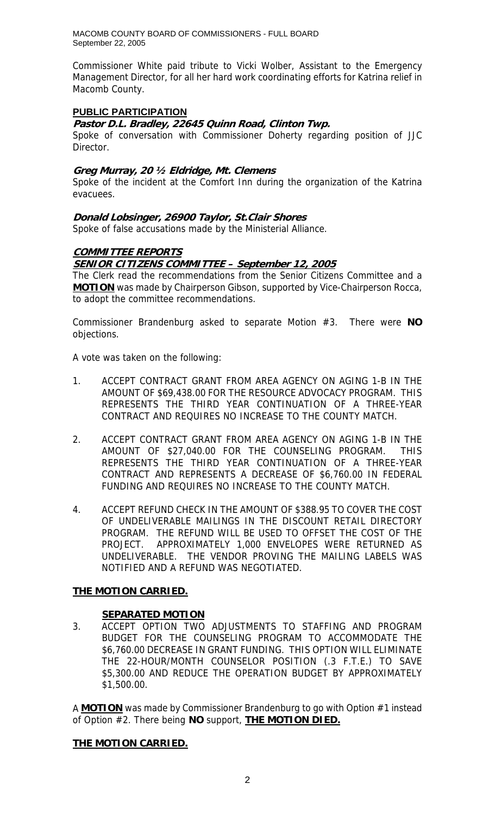Commissioner White paid tribute to Vicki Wolber, Assistant to the Emergency Management Director, for all her hard work coordinating efforts for Katrina relief in Macomb County.

## **PUBLIC PARTICIPATION**

### **Pastor D.L. Bradley, 22645 Quinn Road, Clinton Twp.**

Spoke of conversation with Commissioner Doherty regarding position of JJC Director.

### **Greg Murray, 20 ½ Eldridge, Mt. Clemens**

Spoke of the incident at the Comfort Inn during the organization of the Katrina evacuees.

**Donald Lobsinger, 26900 Taylor, St.Clair Shores**  Spoke of false accusations made by the Ministerial Alliance.

## **COMMITTEE REPORTS**

## **SENIOR CITIZENS COMMITTEE – September 12, 2005**

The Clerk read the recommendations from the Senior Citizens Committee and a **MOTION** was made by Chairperson Gibson, supported by Vice-Chairperson Rocca, to adopt the committee recommendations.

Commissioner Brandenburg asked to separate Motion #3. There were **NO** objections.

A vote was taken on the following:

- 1. ACCEPT CONTRACT GRANT FROM AREA AGENCY ON AGING 1-B IN THE AMOUNT OF \$69,438.00 FOR THE RESOURCE ADVOCACY PROGRAM. THIS REPRESENTS THE THIRD YEAR CONTINUATION OF A THREE-YEAR CONTRACT AND REQUIRES NO INCREASE TO THE COUNTY MATCH.
- 2. ACCEPT CONTRACT GRANT FROM AREA AGENCY ON AGING 1-B IN THE AMOUNT OF \$27,040.00 FOR THE COUNSELING PROGRAM. THIS REPRESENTS THE THIRD YEAR CONTINUATION OF A THREE-YEAR CONTRACT AND REPRESENTS A DECREASE OF \$6,760.00 IN FEDERAL FUNDING AND REQUIRES NO INCREASE TO THE COUNTY MATCH.
- 4. ACCEPT REFUND CHECK IN THE AMOUNT OF \$388.95 TO COVER THE COST OF UNDELIVERABLE MAILINGS IN THE DISCOUNT RETAIL DIRECTORY PROGRAM. THE REFUND WILL BE USED TO OFFSET THE COST OF THE PROJECT. APPROXIMATELY 1,000 ENVELOPES WERE RETURNED AS UNDELIVERABLE. THE VENDOR PROVING THE MAILING LABELS WAS NOTIFIED AND A REFUND WAS NEGOTIATED.

## **THE MOTION CARRIED.**

## **SEPARATED MOTION**

3. ACCEPT OPTION TWO ADJUSTMENTS TO STAFFING AND PROGRAM BUDGET FOR THE COUNSELING PROGRAM TO ACCOMMODATE THE \$6,760.00 DECREASE IN GRANT FUNDING. THIS OPTION WILL ELIMINATE THE 22-HOUR/MONTH COUNSELOR POSITION (.3 F.T.E.) TO SAVE \$5,300.00 AND REDUCE THE OPERATION BUDGET BY APPROXIMATELY \$1,500.00.

A **MOTION** was made by Commissioner Brandenburg to go with Option #1 instead of Option #2. There being **NO** support, **THE MOTION DIED.**

## **THE MOTION CARRIED.**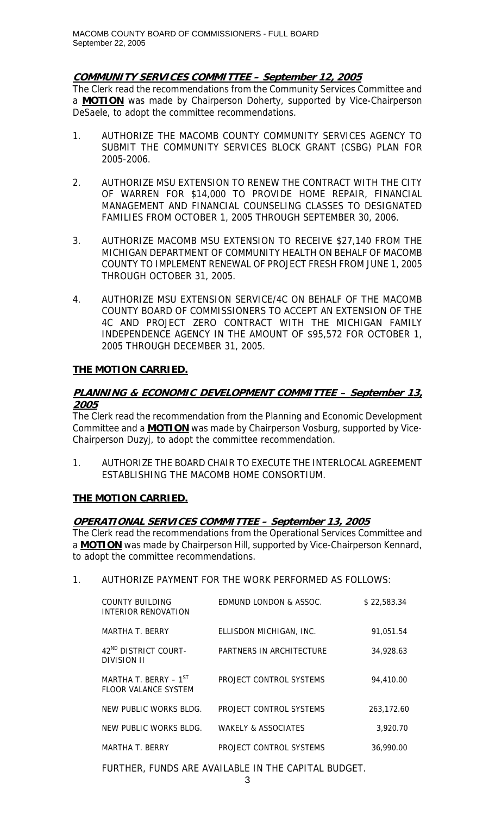## **COMMUNITY SERVICES COMMITTEE – September 12, 2005**

The Clerk read the recommendations from the Community Services Committee and a **MOTION** was made by Chairperson Doherty, supported by Vice-Chairperson DeSaele, to adopt the committee recommendations.

- 1. AUTHORIZE THE MACOMB COUNTY COMMUNITY SERVICES AGENCY TO SUBMIT THE COMMUNITY SERVICES BLOCK GRANT (CSBG) PLAN FOR 2005-2006.
- 2. AUTHORIZE MSU EXTENSION TO RENEW THE CONTRACT WITH THE CITY OF WARREN FOR \$14,000 TO PROVIDE HOME REPAIR, FINANCIAL MANAGEMENT AND FINANCIAL COUNSELING CLASSES TO DESIGNATED FAMILIES FROM OCTOBER 1, 2005 THROUGH SEPTEMBER 30, 2006.
- 3. AUTHORIZE MACOMB MSU EXTENSION TO RECEIVE \$27,140 FROM THE MICHIGAN DEPARTMENT OF COMMUNITY HEALTH ON BEHALF OF MACOMB COUNTY TO IMPLEMENT RENEWAL OF PROJECT FRESH FROM JUNE 1, 2005 THROUGH OCTOBER 31, 2005.
- 4. AUTHORIZE MSU EXTENSION SERVICE/4C ON BEHALF OF THE MACOMB COUNTY BOARD OF COMMISSIONERS TO ACCEPT AN EXTENSION OF THE 4C AND PROJECT ZERO CONTRACT WITH THE MICHIGAN FAMILY INDEPENDENCE AGENCY IN THE AMOUNT OF \$95,572 FOR OCTOBER 1, 2005 THROUGH DECEMBER 31, 2005.

## **THE MOTION CARRIED.**

## **PLANNING & ECONOMIC DEVELOPMENT COMMITTEE – September 13, 2005**

The Clerk read the recommendation from the Planning and Economic Development Committee and a **MOTION** was made by Chairperson Vosburg, supported by Vice-Chairperson Duzyj, to adopt the committee recommendation.

1. AUTHORIZE THE BOARD CHAIR TO EXECUTE THE INTERLOCAL AGREEMENT ESTABLISHING THE MACOMB HOME CONSORTIUM.

# **THE MOTION CARRIED.**

## **OPERATIONAL SERVICES COMMITTEE – September 13, 2005**

The Clerk read the recommendations from the Operational Services Committee and a **MOTION** was made by Chairperson Hill, supported by Vice-Chairperson Kennard, to adopt the committee recommendations.

# 1. AUTHORIZE PAYMENT FOR THE WORK PERFORMED AS FOLLOWS:

| COUNTY BUILDING<br>INTERIOR RENOVATION             | EDMUND LONDON & ASSOC.   | \$22,583.34 |
|----------------------------------------------------|--------------------------|-------------|
| MARTHA T. BERRY                                    | ELLISDON MICHIGAN, INC.  | 91,051.54   |
| 42 <sup>ND</sup> DISTRICT COURT-<br>DIVISION II    | PARTNERS IN ARCHITECTURE | 34,928.63   |
| MARTHA T. BERRY - $1^{ST}$<br>FLOOR VALANCE SYSTEM | PROJECT CONTROL SYSTEMS  | 94,410.00   |
| NEW PUBLIC WORKS BLDG.                             | PROJECT CONTROL SYSTEMS  | 263.172.60  |
| NEW PUBLIC WORKS BLDG.                             | WAKELY & ASSOCIATES      | 3.920.70    |
| MARTHA T. BERRY                                    | PROJECT CONTROL SYSTEMS  | 36,990.00   |

FURTHER, FUNDS ARE AVAILABLE IN THE CAPITAL BUDGET.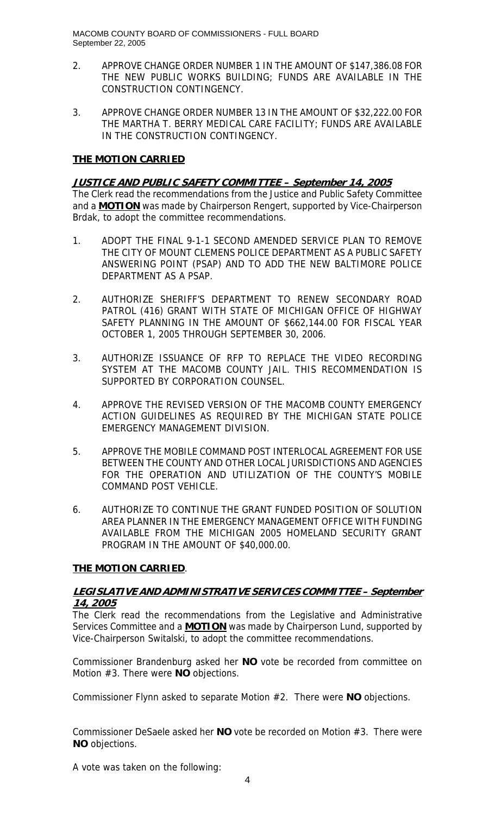- 2. APPROVE CHANGE ORDER NUMBER 1 IN THE AMOUNT OF \$147,386.08 FOR THE NEW PUBLIC WORKS BUILDING; FUNDS ARE AVAILABLE IN THE CONSTRUCTION CONTINGENCY.
- 3. APPROVE CHANGE ORDER NUMBER 13 IN THE AMOUNT OF \$32,222.00 FOR THE MARTHA T. BERRY MEDICAL CARE FACILITY; FUNDS ARE AVAILABLE IN THE CONSTRUCTION CONTINGENCY.

## **THE MOTION CARRIED**

## **JUSTICE AND PUBLIC SAFETY COMMITTEE – September 14, 2005**

The Clerk read the recommendations from the Justice and Public Safety Committee and a **MOTION** was made by Chairperson Rengert, supported by Vice-Chairperson Brdak, to adopt the committee recommendations.

- 1. ADOPT THE FINAL 9-1-1 SECOND AMENDED SERVICE PLAN TO REMOVE THE CITY OF MOUNT CLEMENS POLICE DEPARTMENT AS A PUBLIC SAFETY ANSWERING POINT (PSAP) AND TO ADD THE NEW BALTIMORE POLICE DEPARTMENT AS A PSAP.
- 2. AUTHORIZE SHERIFF'S DEPARTMENT TO RENEW SECONDARY ROAD PATROL (416) GRANT WITH STATE OF MICHIGAN OFFICE OF HIGHWAY SAFETY PLANNING IN THE AMOUNT OF \$662,144.00 FOR FISCAL YEAR OCTOBER 1, 2005 THROUGH SEPTEMBER 30, 2006.
- 3. AUTHORIZE ISSUANCE OF RFP TO REPLACE THE VIDEO RECORDING SYSTEM AT THE MACOMB COUNTY JAIL. THIS RECOMMENDATION IS SUPPORTED BY CORPORATION COUNSEL.
- 4. APPROVE THE REVISED VERSION OF THE MACOMB COUNTY EMERGENCY ACTION GUIDELINES AS REQUIRED BY THE MICHIGAN STATE POLICE EMERGENCY MANAGEMENT DIVISION.
- 5. APPROVE THE MOBILE COMMAND POST INTERLOCAL AGREEMENT FOR USE BETWEEN THE COUNTY AND OTHER LOCAL JURISDICTIONS AND AGENCIES FOR THE OPERATION AND UTILIZATION OF THE COUNTY'S MOBILE COMMAND POST VEHICLE.
- 6. AUTHORIZE TO CONTINUE THE GRANT FUNDED POSITION OF SOLUTION AREA PLANNER IN THE EMERGENCY MANAGEMENT OFFICE WITH FUNDING AVAILABLE FROM THE MICHIGAN 2005 HOMELAND SECURITY GRANT PROGRAM IN THE AMOUNT OF \$40,000.00.

# **THE MOTION CARRIED**.

## **LEGISLATIVE AND ADMINISTRATIVE SERVICES COMMITTEE – September 14, 2005**

The Clerk read the recommendations from the Legislative and Administrative Services Committee and a **MOTION** was made by Chairperson Lund, supported by Vice-Chairperson Switalski, to adopt the committee recommendations.

Commissioner Brandenburg asked her **NO** vote be recorded from committee on Motion #3. There were **NO** objections.

Commissioner Flynn asked to separate Motion #2. There were **NO** objections.

Commissioner DeSaele asked her **NO** vote be recorded on Motion #3. There were **NO** objections.

A vote was taken on the following: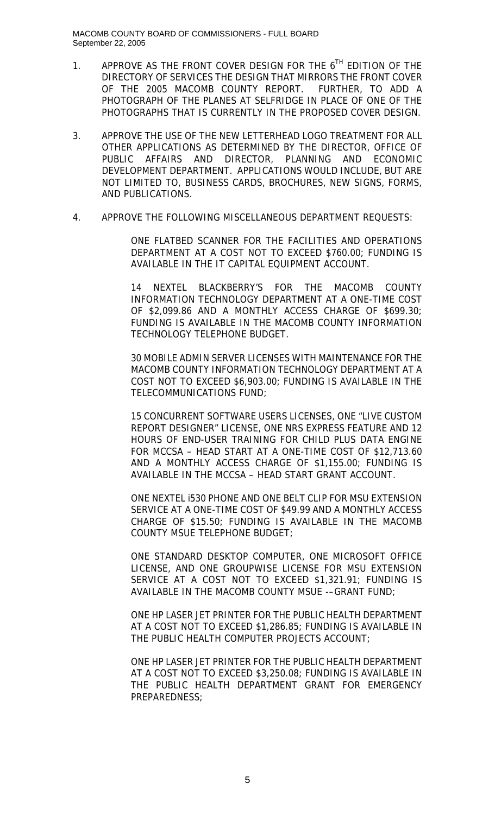- 1. APPROVE AS THE FRONT COVER DESIGN FOR THE  $6^{TH}$  EDITION OF THE DIRECTORY OF SERVICES THE DESIGN THAT MIRRORS THE FRONT COVER OF THE 2005 MACOMB COUNTY REPORT. FURTHER, TO ADD A PHOTOGRAPH OF THE PLANES AT SELFRIDGE IN PLACE OF ONE OF THE PHOTOGRAPHS THAT IS CURRENTLY IN THE PROPOSED COVER DESIGN.
- 3. APPROVE THE USE OF THE NEW LETTERHEAD LOGO TREATMENT FOR ALL OTHER APPLICATIONS AS DETERMINED BY THE DIRECTOR, OFFICE OF PUBLIC AFFAIRS AND DIRECTOR, PLANNING AND ECONOMIC DEVELOPMENT DEPARTMENT. APPLICATIONS WOULD INCLUDE, BUT ARE NOT LIMITED TO, BUSINESS CARDS, BROCHURES, NEW SIGNS, FORMS, AND PUBLICATIONS.
- 4. APPROVE THE FOLLOWING MISCELLANEOUS DEPARTMENT REQUESTS:

ONE FLATBED SCANNER FOR THE FACILITIES AND OPERATIONS DEPARTMENT AT A COST NOT TO EXCEED \$760.00; FUNDING IS AVAILABLE IN THE IT CAPITAL EQUIPMENT ACCOUNT.

14 NEXTEL BLACKBERRY'S FOR THE MACOMB COUNTY INFORMATION TECHNOLOGY DEPARTMENT AT A ONE-TIME COST OF \$2,099.86 AND A MONTHLY ACCESS CHARGE OF \$699.30; FUNDING IS AVAILABLE IN THE MACOMB COUNTY INFORMATION TECHNOLOGY TELEPHONE BUDGET.

30 MOBILE ADMIN SERVER LICENSES WITH MAINTENANCE FOR THE MACOMB COUNTY INFORMATION TECHNOLOGY DEPARTMENT AT A COST NOT TO EXCEED \$6,903.00; FUNDING IS AVAILABLE IN THE TELECOMMUNICATIONS FUND;

15 CONCURRENT SOFTWARE USERS LICENSES, ONE "LIVE CUSTOM REPORT DESIGNER" LICENSE, ONE NRS EXPRESS FEATURE AND 12 HOURS OF END-USER TRAINING FOR CHILD PLUS DATA ENGINE FOR MCCSA – HEAD START AT A ONE-TIME COST OF \$12,713.60 AND A MONTHLY ACCESS CHARGE OF \$1,155.00; FUNDING IS AVAILABLE IN THE MCCSA – HEAD START GRANT ACCOUNT.

ONE NEXTEL i530 PHONE AND ONE BELT CLIP FOR MSU EXTENSION SERVICE AT A ONE-TIME COST OF \$49.99 AND A MONTHLY ACCESS CHARGE OF \$15.50; FUNDING IS AVAILABLE IN THE MACOMB COUNTY MSUE TELEPHONE BUDGET;

ONE STANDARD DESKTOP COMPUTER, ONE MICROSOFT OFFICE LICENSE, AND ONE GROUPWISE LICENSE FOR MSU EXTENSION SERVICE AT A COST NOT TO EXCEED \$1,321.91; FUNDING IS AVAILABLE IN THE MACOMB COUNTY MSUE -–GRANT FUND;

ONE HP LASER JET PRINTER FOR THE PUBLIC HEALTH DEPARTMENT AT A COST NOT TO EXCEED \$1,286.85; FUNDING IS AVAILABLE IN THE PUBLIC HEALTH COMPUTER PROJECTS ACCOUNT;

ONE HP LASER JET PRINTER FOR THE PUBLIC HEALTH DEPARTMENT AT A COST NOT TO EXCEED \$3,250.08; FUNDING IS AVAILABLE IN THE PUBLIC HEALTH DEPARTMENT GRANT FOR EMERGENCY PREPAREDNESS;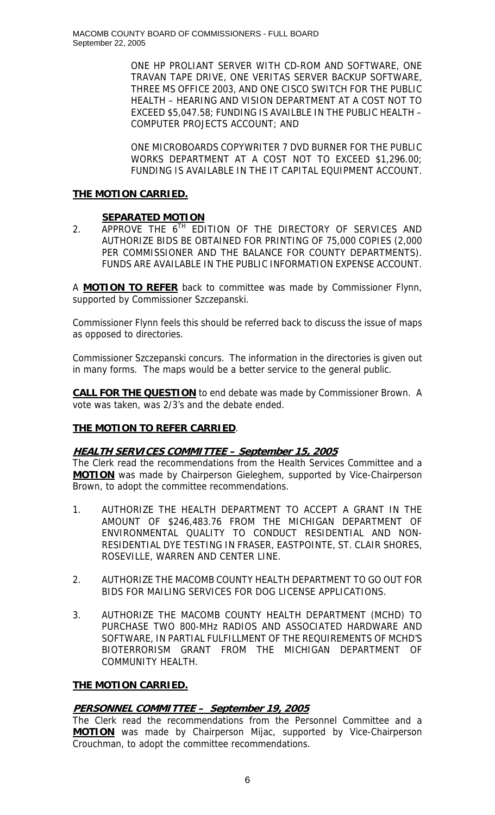ONE HP PROLIANT SERVER WITH CD-ROM AND SOFTWARE, ONE TRAVAN TAPE DRIVE, ONE VERITAS SERVER BACKUP SOFTWARE, THREE MS OFFICE 2003, AND ONE CISCO SWITCH FOR THE PUBLIC HEALTH – HEARING AND VISION DEPARTMENT AT A COST NOT TO EXCEED \$5,047.58; FUNDING IS AVAILBLE IN THE PUBLIC HEALTH – COMPUTER PROJECTS ACCOUNT; AND

ONE MICROBOARDS COPYWRITER 7 DVD BURNER FOR THE PUBLIC WORKS DEPARTMENT AT A COST NOT TO EXCEED \$1,296.00; FUNDING IS AVAILABLE IN THE IT CAPITAL EQUIPMENT ACCOUNT.

# **THE MOTION CARRIED.**

## **SEPARATED MOTION**

2. APPROVE THE  $6^{TH}$  EDITION OF THE DIRECTORY OF SERVICES AND AUTHORIZE BIDS BE OBTAINED FOR PRINTING OF 75,000 COPIES (2,000 PER COMMISSIONER AND THE BALANCE FOR COUNTY DEPARTMENTS). FUNDS ARE AVAILABLE IN THE PUBLIC INFORMATION EXPENSE ACCOUNT.

A **MOTION TO REFER** back to committee was made by Commissioner Flynn, supported by Commissioner Szczepanski.

Commissioner Flynn feels this should be referred back to discuss the issue of maps as opposed to directories.

Commissioner Szczepanski concurs. The information in the directories is given out in many forms. The maps would be a better service to the general public.

**CALL FOR THE QUESTION** to end debate was made by Commissioner Brown. A vote was taken, was 2/3's and the debate ended.

# **THE MOTION TO REFER CARRIED**.

# **HEALTH SERVICES COMMITTEE – September 15, 2005**

The Clerk read the recommendations from the Health Services Committee and a **MOTION** was made by Chairperson Gieleghem, supported by Vice-Chairperson Brown, to adopt the committee recommendations.

- 1. AUTHORIZE THE HEALTH DEPARTMENT TO ACCEPT A GRANT IN THE AMOUNT OF \$246,483.76 FROM THE MICHIGAN DEPARTMENT OF ENVIRONMENTAL QUALITY TO CONDUCT RESIDENTIAL AND NON-RESIDENTIAL DYE TESTING IN FRASER, EASTPOINTE, ST. CLAIR SHORES, ROSEVILLE, WARREN AND CENTER LINE.
- 2. AUTHORIZE THE MACOMB COUNTY HEALTH DEPARTMENT TO GO OUT FOR BIDS FOR MAILING SERVICES FOR DOG LICENSE APPLICATIONS.
- 3. AUTHORIZE THE MACOMB COUNTY HEALTH DEPARTMENT (MCHD) TO PURCHASE TWO 800-MHz RADIOS AND ASSOCIATED HARDWARE AND SOFTWARE, IN PARTIAL FULFILLMENT OF THE REQUIREMENTS OF MCHD'S BIOTERRORISM GRANT FROM THE MICHIGAN DEPARTMENT OF COMMUNITY HEALTH.

## **THE MOTION CARRIED.**

# **PERSONNEL COMMITTEE – September 19, 2005**

The Clerk read the recommendations from the Personnel Committee and a **MOTION** was made by Chairperson Mijac, supported by Vice-Chairperson Crouchman, to adopt the committee recommendations.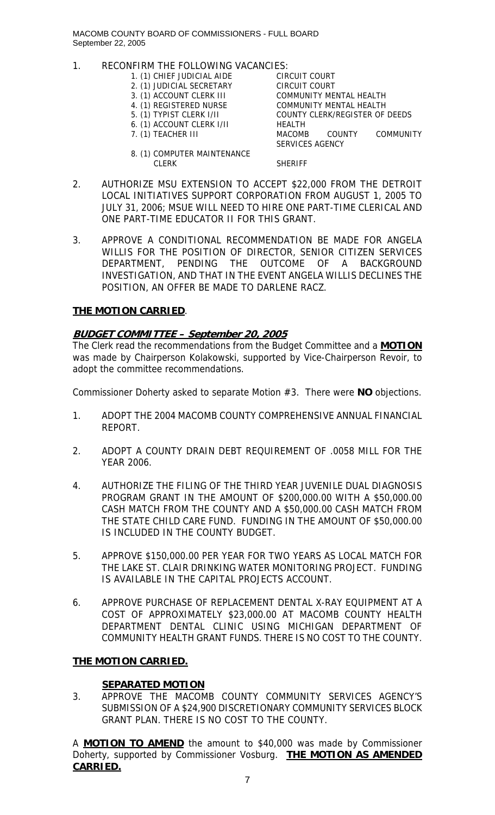- 1. RECONFIRM THE FOLLOWING VACANCIES:
	- 1. (1) CHIEF JUDICIAL AIDE CIRCUIT COURT
	- 2. (1) JUDICIAL SECRETARY
	-
	-
	-
	- 6. (1) ACCOUNT CLERK I/II HEALTH

3. (1) ACCOUNT CLERK III COMMUNITY MENTAL HEALTH 4. (1) REGISTERED NURSE COMMUNITY MENTAL HEALTH<br>5. (1) TYPIST CLERK I/II COUNTY CLERK/REGISTER OF COUNTY CLERK/REGISTER OF DEEDS 7. (1) TEACHER III MACOMB COUNTY COMMUNITY SERVICES AGENCY

8. (1) COMPUTER MAINTENANCE CLERK SHERIFF

- 2. AUTHORIZE MSU EXTENSION TO ACCEPT \$22,000 FROM THE DETROIT LOCAL INITIATIVES SUPPORT CORPORATION FROM AUGUST 1, 2005 TO JULY 31, 2006; MSUE WILL NEED TO HIRE ONE PART-TIME CLERICAL AND ONE PART-TIME EDUCATOR II FOR THIS GRANT.
- 3. APPROVE A CONDITIONAL RECOMMENDATION BE MADE FOR ANGELA WILLIS FOR THE POSITION OF DIRECTOR, SENIOR CITIZEN SERVICES DEPARTMENT, PENDING THE OUTCOME OF A BACKGROUND INVESTIGATION, AND THAT IN THE EVENT ANGELA WILLIS DECLINES THE POSITION, AN OFFER BE MADE TO DARLENE RACZ.

# **THE MOTION CARRIED**.

# **BUDGET COMMITTEE – September 20, 2005**

The Clerk read the recommendations from the Budget Committee and a **MOTION** was made by Chairperson Kolakowski, supported by Vice-Chairperson Revoir, to adopt the committee recommendations.

Commissioner Doherty asked to separate Motion #3. There were **NO** objections.

- 1. ADOPT THE 2004 MACOMB COUNTY COMPREHENSIVE ANNUAL FINANCIAL REPORT.
- 2. ADOPT A COUNTY DRAIN DEBT REQUIREMENT OF .0058 MILL FOR THE YEAR 2006.
- 4. AUTHORIZE THE FILING OF THE THIRD YEAR JUVENILE DUAL DIAGNOSIS PROGRAM GRANT IN THE AMOUNT OF \$200,000.00 WITH A \$50,000.00 CASH MATCH FROM THE COUNTY AND A \$50,000.00 CASH MATCH FROM THE STATE CHILD CARE FUND. FUNDING IN THE AMOUNT OF \$50,000.00 IS INCLUDED IN THE COUNTY BUDGET.
- 5. APPROVE \$150,000.00 PER YEAR FOR TWO YEARS AS LOCAL MATCH FOR THE LAKE ST. CLAIR DRINKING WATER MONITORING PROJECT. FUNDING IS AVAILABLE IN THE CAPITAL PROJECTS ACCOUNT.
- 6. APPROVE PURCHASE OF REPLACEMENT DENTAL X-RAY EQUIPMENT AT A COST OF APPROXIMATELY \$23,000.00 AT MACOMB COUNTY HEALTH DEPARTMENT DENTAL CLINIC USING MICHIGAN DEPARTMENT OF COMMUNITY HEALTH GRANT FUNDS. THERE IS NO COST TO THE COUNTY.

# **THE MOTION CARRIED.**

# **SEPARATED MOTION**

3. APPROVE THE MACOMB COUNTY COMMUNITY SERVICES AGENCY'S SUBMISSION OF A \$24,900 DISCRETIONARY COMMUNITY SERVICES BLOCK GRANT PLAN. THERE IS NO COST TO THE COUNTY.

A **MOTION TO AMEND** the amount to \$40,000 was made by Commissioner Doherty, supported by Commissioner Vosburg. **THE MOTION AS AMENDED CARRIED.**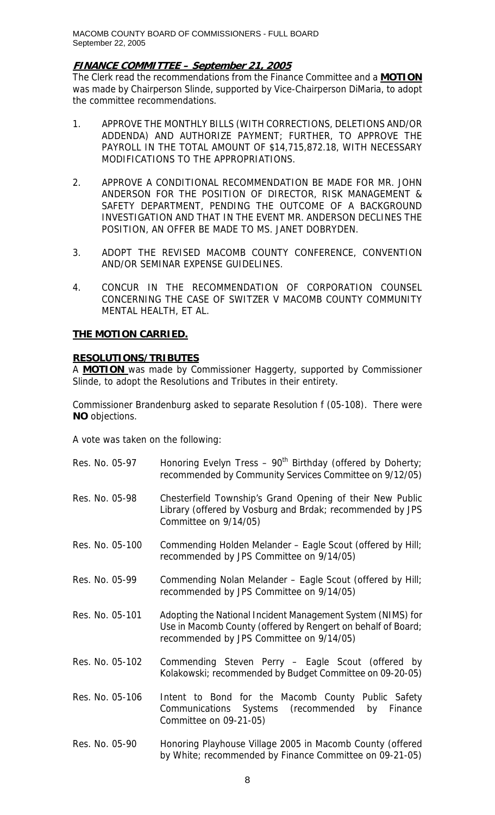## **FINANCE COMMITTEE – September 21, 2005**

The Clerk read the recommendations from the Finance Committee and a **MOTION** was made by Chairperson Slinde, supported by Vice-Chairperson DiMaria, to adopt the committee recommendations.

- 1. APPROVE THE MONTHLY BILLS (WITH CORRECTIONS, DELETIONS AND/OR ADDENDA) AND AUTHORIZE PAYMENT; FURTHER, TO APPROVE THE PAYROLL IN THE TOTAL AMOUNT OF \$14,715,872.18, WITH NECESSARY MODIFICATIONS TO THE APPROPRIATIONS.
- 2. APPROVE A CONDITIONAL RECOMMENDATION BE MADE FOR MR. JOHN ANDERSON FOR THE POSITION OF DIRECTOR, RISK MANAGEMENT & SAFETY DEPARTMENT, PENDING THE OUTCOME OF A BACKGROUND INVESTIGATION AND THAT IN THE EVENT MR. ANDERSON DECLINES THE POSITION, AN OFFER BE MADE TO MS. JANET DOBRYDEN.
- 3. ADOPT THE REVISED MACOMB COUNTY CONFERENCE, CONVENTION AND/OR SEMINAR EXPENSE GUIDELINES.
- 4. CONCUR IN THE RECOMMENDATION OF CORPORATION COUNSEL CONCERNING THE CASE OF SWITZER V MACOMB COUNTY COMMUNITY MENTAL HEALTH, ET AL.

#### **THE MOTION CARRIED.**

## **RESOLUTIONS/TRIBUTES**

A **MOTION** was made by Commissioner Haggerty, supported by Commissioner Slinde, to adopt the Resolutions and Tributes in their entirety.

Commissioner Brandenburg asked to separate Resolution f (05-108). There were **NO** objections.

A vote was taken on the following:

| Res. No. 05-97  | Honoring Evelyn Tress - $90^{th}$ Birthday (offered by Doherty;<br>recommended by Community Services Committee on 9/12/05)                                              |
|-----------------|-------------------------------------------------------------------------------------------------------------------------------------------------------------------------|
| Res. No. 05-98  | Chesterfield Township's Grand Opening of their New Public<br>Library (offered by Vosburg and Brdak; recommended by JPS<br>Committee on 9/14/05)                         |
| Res. No. 05-100 | Commending Holden Melander - Eagle Scout (offered by Hill;<br>recommended by JPS Committee on 9/14/05)                                                                  |
| Res. No. 05-99  | Commending Nolan Melander - Eagle Scout (offered by Hill;<br>recommended by JPS Committee on 9/14/05)                                                                   |
| Res. No. 05-101 | Adopting the National Incident Management System (NIMS) for<br>Use in Macomb County (offered by Rengert on behalf of Board;<br>recommended by JPS Committee on 9/14/05) |
| Res. No. 05-102 | Commending Steven Perry - Eagle Scout (offered by<br>Kolakowski; recommended by Budget Committee on 09-20-05)                                                           |
| Res. No. 05-106 | Intent to Bond for the Macomb County Public Safety<br>(recommended<br>Communications Systems<br>by<br>Finance<br>Committee on 09-21-05)                                 |
| Res. No. 05-90  | Honoring Playhouse Village 2005 in Macomb County (offered<br>by White; recommended by Finance Committee on 09-21-05)                                                    |

8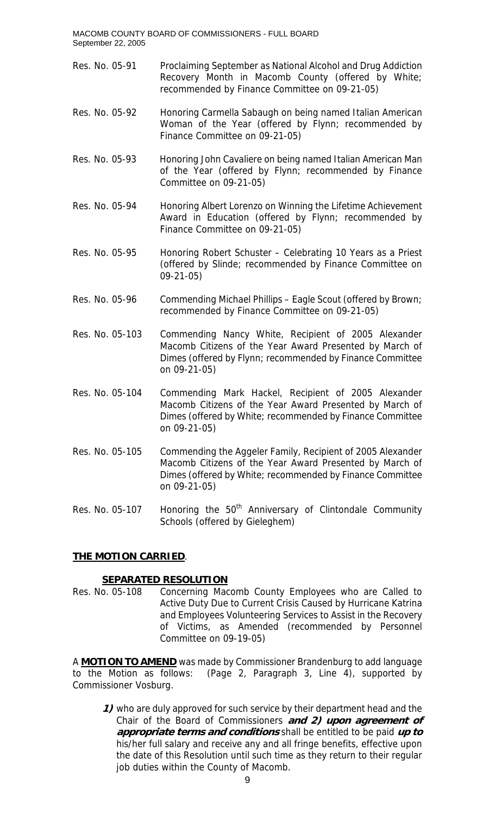- Res. No. 05-91 Proclaiming September as National Alcohol and Drug Addiction Recovery Month in Macomb County (offered by White; recommended by Finance Committee on 09-21-05)
- Res. No. 05-92 Honoring Carmella Sabaugh on being named Italian American Woman of the Year (offered by Flynn; recommended by Finance Committee on 09-21-05)
- Res. No. 05-93 Honoring John Cavaliere on being named Italian American Man of the Year (offered by Flynn; recommended by Finance Committee on 09-21-05)
- Res. No. 05-94 Honoring Albert Lorenzo on Winning the Lifetime Achievement Award in Education (offered by Flynn; recommended by Finance Committee on 09-21-05)
- Res. No. 05-95 Honoring Robert Schuster Celebrating 10 Years as a Priest (offered by Slinde; recommended by Finance Committee on 09-21-05)
- Res. No. 05-96 Commending Michael Phillips Eagle Scout (offered by Brown; recommended by Finance Committee on 09-21-05)
- Res. No. 05-103 Commending Nancy White, Recipient of 2005 Alexander Macomb Citizens of the Year Award Presented by March of Dimes (offered by Flynn; recommended by Finance Committee on 09-21-05)
- Res. No. 05-104 Commending Mark Hackel, Recipient of 2005 Alexander Macomb Citizens of the Year Award Presented by March of Dimes (offered by White; recommended by Finance Committee on 09-21-05)
- Res. No. 05-105 Commending the Aggeler Family, Recipient of 2005 Alexander Macomb Citizens of the Year Award Presented by March of Dimes (offered by White; recommended by Finance Committee on 09-21-05)
- Res. No. 05-107 Honoring the  $50<sup>th</sup>$  Anniversary of Clintondale Community Schools (offered by Gieleghem)

# **THE MOTION CARRIED**.

## **SEPARATED RESOLUTION**

Res. No. 05-108 Concerning Macomb County Employees who are Called to Active Duty Due to Current Crisis Caused by Hurricane Katrina and Employees Volunteering Services to Assist in the Recovery of Victims, as Amended (recommended by Personnel Committee on 09-19-05)

A **MOTION TO AMEND** was made by Commissioner Brandenburg to add language to the Motion as follows: (Page 2, Paragraph 3, Line 4), supported by Commissioner Vosburg.

**1)** who are duly approved for such service by their department head and the Chair of the Board of Commissioners **and 2) upon agreement of appropriate terms and conditions** shall be entitled to be paid **up to** his/her full salary and receive any and all fringe benefits, effective upon the date of this Resolution until such time as they return to their regular job duties within the County of Macomb.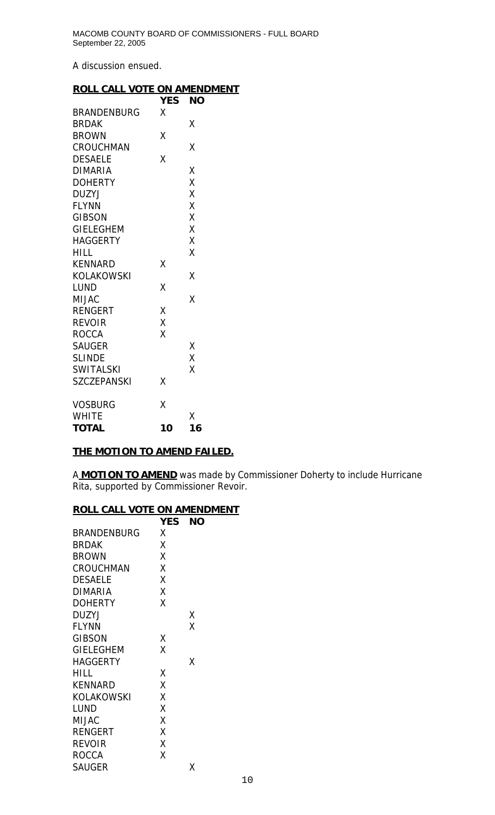A discussion ensued.

## **ROLL CALL VOTE ON AMENDMENT**

|                    | <b>YES</b> | <b>NO</b> |
|--------------------|------------|-----------|
| <b>BRANDENBURG</b> | Χ          |           |
| <b>BRDAK</b>       |            | X         |
| <b>BROWN</b>       | Χ          |           |
| <b>CROUCHMAN</b>   |            | Χ         |
| <b>DESAELE</b>     | X          |           |
| <b>DIMARIA</b>     |            | Χ         |
| <b>DOHERTY</b>     |            | X         |
| <b>DUZYJ</b>       |            | X         |
| <b>FLYNN</b>       |            | X         |
| <b>GIBSON</b>      |            | X         |
| <b>GIELEGHEM</b>   |            | X         |
| <b>HAGGERTY</b>    |            | Χ         |
| <b>HILL</b>        |            | X         |
| <b>KENNARD</b>     | Χ          |           |
| <b>KOLAKOWSKI</b>  |            | X         |
| <b>LUND</b>        | X          |           |
| <b>MIJAC</b>       |            | Χ         |
| <b>RENGERT</b>     | X          |           |
| <b>REVOIR</b>      | Χ          |           |
| <b>ROCCA</b>       | X          |           |
| <b>SAUGER</b>      |            | Χ         |
| <b>SLINDE</b>      |            | Χ         |
| <b>SWITALSKI</b>   |            | Χ         |
| <b>SZCZEPANSKI</b> | Χ          |           |
| <b>VOSBURG</b>     | Χ          |           |
| <b>WHITE</b>       |            | Χ         |
| <b>TOTAL</b>       | 10         | 16        |

## **THE MOTION TO AMEND FAILED.**

A **MOTION TO AMEND** was made by Commissioner Doherty to include Hurricane Rita, supported by Commissioner Revoir.

## **ROLL CALL VOTE ON AMENDMENT**

|                    | <b>YES</b> | ΝO |
|--------------------|------------|----|
| <b>BRANDENBURG</b> | x          |    |
| <b>BRDAK</b>       | χ          |    |
| <b>BROWN</b>       | Χ          |    |
| CROUCHMAN          | χ          |    |
| <b>DESAELE</b>     | Χ          |    |
| <b>DIMARIA</b>     | Χ          |    |
| <b>DOHERTY</b>     | χ          |    |
| <b>DUZYJ</b>       |            | Χ  |
| <b>FLYNN</b>       |            | Χ  |
| <b>GIBSON</b>      | Χ          |    |
| <b>GIELEGHEM</b>   | Χ          |    |
| <b>HAGGERTY</b>    |            | χ  |
| HILL               | Χ          |    |
| <b>KENNARD</b>     | Χ          |    |
| KOLAKOWSKI         | χ          |    |
| LUND               | Χ          |    |
| <b>MIJAC</b>       | Χ          |    |
| <b>RENGERT</b>     | χ          |    |
| <b>REVOIR</b>      | Χ          |    |
| <b>ROCCA</b>       | Χ          |    |
| <b>SAUGER</b>      |            | x  |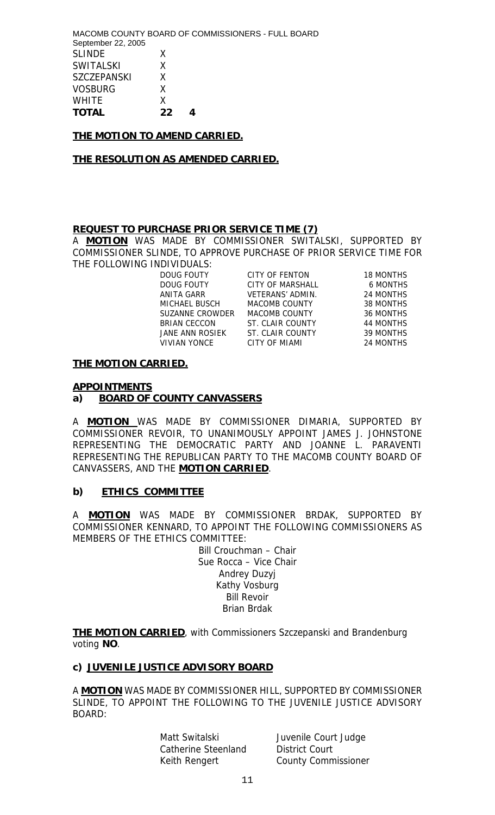MACOMB COUNTY BOARD OF COMMISSIONERS - FULL BOARD September 22, 2005 SLINDE X SWITALSKI X SZCZEPANSKI X VOSBURG X WHITE X **TOTAL 22 4** 

## **THE MOTION TO AMEND CARRIED.**

#### **THE RESOLUTION AS AMENDED CARRIED.**

#### **REQUEST TO PURCHASE PRIOR SERVICE TIME (7)**

A **MOTION** WAS MADE BY COMMISSIONER SWITALSKI, SUPPORTED BY COMMISSIONER SLINDE, TO APPROVE PURCHASE OF PRIOR SERVICE TIME FOR THE FOLLOWING INDIVIDUALS:

DOUG FOUTY CITY OF FENTON 18 MONTHS DOUG FOUTY CITY OF MARSHALL 6 MONTHS ANITA GARR VETERANS' ADMIN. 24 MONTHS MICHAEL BUSCH MACOMB COUNTY 38 MONTHS SUZANNE CROWDER MACOMB COUNTY 36 MONTHS BRIAN CECCON ST. CLAIR COUNTY 44 MONTHS<br>JANE ANN ROSIEK ST. CLAIR COUNTY 39 MONTHS JANE ANN ROSIEK ST. CLAIR COUNTY 39 MONTHS VIVIAN YONCE CITY OF MIAMI 24 MONTHS

#### **THE MOTION CARRIED.**

#### **APPOINTMENTS**

#### **a) BOARD OF COUNTY CANVASSERS**

A **MOTION** WAS MADE BY COMMISSIONER DIMARIA, SUPPORTED BY COMMISSIONER REVOIR, TO UNANIMOUSLY APPOINT JAMES J. JOHNSTONE REPRESENTING THE DEMOCRATIC PARTY AND JOANNE L. PARAVENTI REPRESENTING THE REPUBLICAN PARTY TO THE MACOMB COUNTY BOARD OF CANVASSERS, AND THE **MOTION CARRIED**.

#### **b) ETHICS COMMITTEE**

A **MOTION** WAS MADE BY COMMISSIONER BRDAK, SUPPORTED BY COMMISSIONER KENNARD, TO APPOINT THE FOLLOWING COMMISSIONERS AS MEMBERS OF THE ETHICS COMMITTEE:

> Bill Crouchman – Chair Sue Rocca – Vice Chair Andrey Duzyj Kathy Vosburg Bill Revoir Brian Brdak

**THE MOTION CARRIED**, with Commissioners Szczepanski and Brandenburg voting **NO**.

## **c) JUVENILE JUSTICE ADVISORY BOARD**

A **MOTION** WAS MADE BY COMMISSIONER HILL, SUPPORTED BY COMMISSIONER SLINDE, TO APPOINT THE FOLLOWING TO THE JUVENILE JUSTICE ADVISORY BOARD:

Catherine Steenland District Court

Matt Switalski **Juvenile Court Judge** Keith Rengert County Commissioner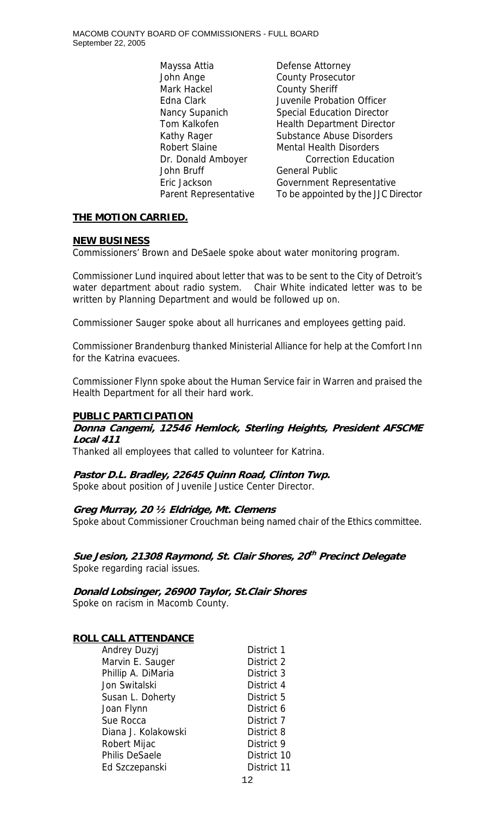Mayssa Attia Defense Attorney John Ange **County Prosecutor** Mark Hackel County Sheriff John Bruff General Public

Edna Clark Juvenile Probation Officer Nancy Supanich Special Education Director Tom Kalkofen **Health Department Director** Kathy Rager Substance Abuse Disorders Robert Slaine Mental Health Disorders Dr. Donald Amboyer **Correction Education** Eric Jackson Government Representative Parent Representative To be appointed by the JJC Director

## **THE MOTION CARRIED.**

#### **NEW BUSINESS**

Commissioners' Brown and DeSaele spoke about water monitoring program.

Commissioner Lund inquired about letter that was to be sent to the City of Detroit's water department about radio system. Chair White indicated letter was to be written by Planning Department and would be followed up on.

Commissioner Sauger spoke about all hurricanes and employees getting paid.

Commissioner Brandenburg thanked Ministerial Alliance for help at the Comfort Inn for the Katrina evacuees.

Commissioner Flynn spoke about the Human Service fair in Warren and praised the Health Department for all their hard work.

## **PUBLIC PARTICIPATION**

## **Donna Cangemi, 12546 Hemlock, Sterling Heights, President AFSCME Local 411**

Thanked all employees that called to volunteer for Katrina.

# **Pastor D.L. Bradley, 22645 Quinn Road, Clinton Twp.**

Spoke about position of Juvenile Justice Center Director.

## **Greg Murray, 20 ½ Eldridge, Mt. Clemens**

Spoke about Commissioner Crouchman being named chair of the Ethics committee.

**Sue Jesion, 21308 Raymond, St. Clair Shores, 20th Precinct Delegate**  Spoke regarding racial issues.

**Donald Lobsinger, 26900 Taylor, St.Clair Shores**  Spoke on racism in Macomb County.

## **ROLL CALL ATTENDANCE**

| <b>Andrey Duzyj</b> | District 1  |
|---------------------|-------------|
| Marvin E. Sauger    | District 2  |
| Phillip A. DiMaria  | District 3  |
| Jon Switalski       | District 4  |
| Susan L. Doherty    | District 5  |
| Joan Flynn          | District 6  |
| Sue Rocca           | District 7  |
| Diana J. Kolakowski | District 8  |
| Robert Mijac        | District 9  |
| Philis DeSaele      | District 10 |
| Ed Szczepanski      | District 11 |
|                     |             |